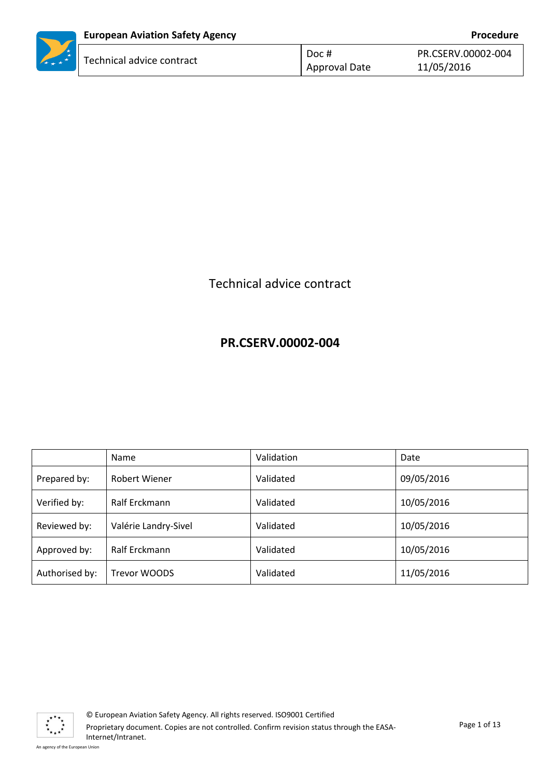|                   | <b>European Aviation Safety Agency</b> |               | Procedure          |
|-------------------|----------------------------------------|---------------|--------------------|
| <b>AND 1999</b>   | Technical advice contract              | Doc #         | PR.CSERV.00002-004 |
| $\star$ + $\star$ |                                        | Approval Date | 11/05/2016         |

# Technical advice contract

# **PR.CSERV.00002-004**

|                | Name                 | Validation | Date       |
|----------------|----------------------|------------|------------|
| Prepared by:   | <b>Robert Wiener</b> | Validated  | 09/05/2016 |
| Verified by:   | Ralf Erckmann        | Validated  | 10/05/2016 |
| Reviewed by:   | Valérie Landry-Sivel | Validated  | 10/05/2016 |
| Approved by:   | Ralf Erckmann        | Validated  | 10/05/2016 |
| Authorised by: | Trevor WOODS         | Validated  | 11/05/2016 |

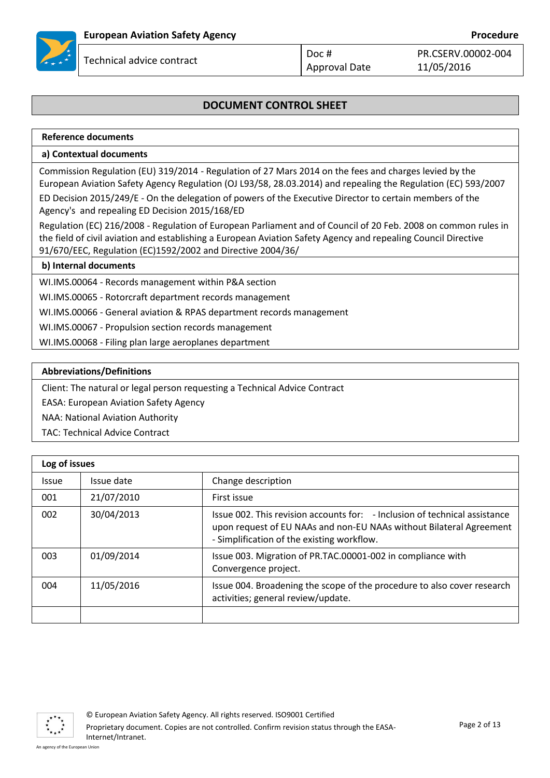

PR.CSERV.00002-004

11/05/2016

## **DOCUMENT CONTROL SHEET**

| Reference documents                                                                                                                                                                                                                                                                             |
|-------------------------------------------------------------------------------------------------------------------------------------------------------------------------------------------------------------------------------------------------------------------------------------------------|
| a) Contextual documents                                                                                                                                                                                                                                                                         |
| Commission Regulation (EU) 319/2014 - Regulation of 27 Mars 2014 on the fees and charges levied by the<br>European Aviation Safety Agency Regulation (OJ L93/58, 28.03.2014) and repealing the Regulation (EC) 593/2007                                                                         |
| ED Decision 2015/249/E - On the delegation of powers of the Executive Director to certain members of the<br>Agency's and repealing ED Decision 2015/168/ED                                                                                                                                      |
| Regulation (EC) 216/2008 - Regulation of European Parliament and of Council of 20 Feb. 2008 on common rules in<br>the field of civil aviation and establishing a European Aviation Safety Agency and repealing Council Directive<br>91/670/EEC, Regulation (EC)1592/2002 and Directive 2004/36/ |
| h) Internal documents                                                                                                                                                                                                                                                                           |

#### **b) Internal documents**

WI.IMS.00064 - Records management within P&A section

WI.IMS.00065 - Rotorcraft department records management

WI.IMS.00066 - General aviation & RPAS department records management

WI.IMS.00067 - Propulsion section records management

WI.IMS.00068 - Filing plan large aeroplanes department

#### **Abbreviations/Definitions**

Client: The natural or legal person requesting a Technical Advice Contract

EASA: European Aviation Safety Agency

NAA: National Aviation Authority

TAC: Technical Advice Contract

|              | Log of issues |                                                                                                                                                                                                 |  |
|--------------|---------------|-------------------------------------------------------------------------------------------------------------------------------------------------------------------------------------------------|--|
| <b>Issue</b> | Issue date    | Change description                                                                                                                                                                              |  |
| 001          | 21/07/2010    | First issue                                                                                                                                                                                     |  |
| 002          | 30/04/2013    | Issue 002. This revision accounts for: - Inclusion of technical assistance<br>upon request of EU NAAs and non-EU NAAs without Bilateral Agreement<br>- Simplification of the existing workflow. |  |
| 003          | 01/09/2014    | Issue 003. Migration of PR.TAC.00001-002 in compliance with<br>Convergence project.                                                                                                             |  |
| 004          | 11/05/2016    | Issue 004. Broadening the scope of the procedure to also cover research<br>activities; general review/update.                                                                                   |  |
|              |               |                                                                                                                                                                                                 |  |

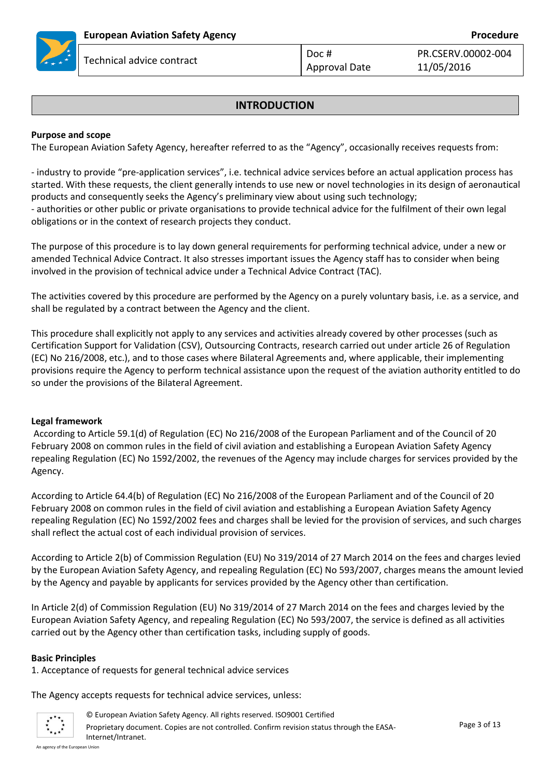

PR.CSERV.00002-004

11/05/2016

### **INTRODUCTION**

#### **Purpose and scope**

The European Aviation Safety Agency, hereafter referred to as the "Agency", occasionally receives requests from:

- industry to provide "pre-application services", i.e. technical advice services before an actual application process has started. With these requests, the client generally intends to use new or novel technologies in its design of aeronautical products and consequently seeks the Agency's preliminary view about using such technology; - authorities or other public or private organisations to provide technical advice for the fulfilment of their own legal obligations or in the context of research projects they conduct.

The purpose of this procedure is to lay down general requirements for performing technical advice, under a new or amended Technical Advice Contract. It also stresses important issues the Agency staff has to consider when being involved in the provision of technical advice under a Technical Advice Contract (TAC).

The activities covered by this procedure are performed by the Agency on a purely voluntary basis, i.e. as a service, and shall be regulated by a contract between the Agency and the client.

This procedure shall explicitly not apply to any services and activities already covered by other processes (such as Certification Support for Validation (CSV), Outsourcing Contracts, research carried out under article 26 of Regulation (EC) No 216/2008, etc.), and to those cases where Bilateral Agreements and, where applicable, their implementing provisions require the Agency to perform technical assistance upon the request of the aviation authority entitled to do so under the provisions of the Bilateral Agreement.

#### **Legal framework**

According to Article 59.1(d) of Regulation (EC) No 216/2008 of the European Parliament and of the Council of 20 February 2008 on common rules in the field of civil aviation and establishing a European Aviation Safety Agency repealing Regulation (EC) No 1592/2002, the revenues of the Agency may include charges for services provided by the Agency.

According to Article 64.4(b) of Regulation (EC) No 216/2008 of the European Parliament and of the Council of 20 February 2008 on common rules in the field of civil aviation and establishing a European Aviation Safety Agency repealing Regulation (EC) No 1592/2002 fees and charges shall be levied for the provision of services, and such charges shall reflect the actual cost of each individual provision of services.

According to Article 2(b) of Commission Regulation (EU) No 319/2014 of 27 March 2014 on the fees and charges levied by the European Aviation Safety Agency, and repealing Regulation (EC) No 593/2007, charges means the amount levied by the Agency and payable by applicants for services provided by the Agency other than certification.

In Article 2(d) of Commission Regulation (EU) No 319/2014 of 27 March 2014 on the fees and charges levied by the European Aviation Safety Agency, and repealing Regulation (EC) No 593/2007, the service is defined as all activities carried out by the Agency other than certification tasks, including supply of goods.

#### **Basic Principles**

1. Acceptance of requests for general technical advice services

The Agency accepts requests for technical advice services, unless:

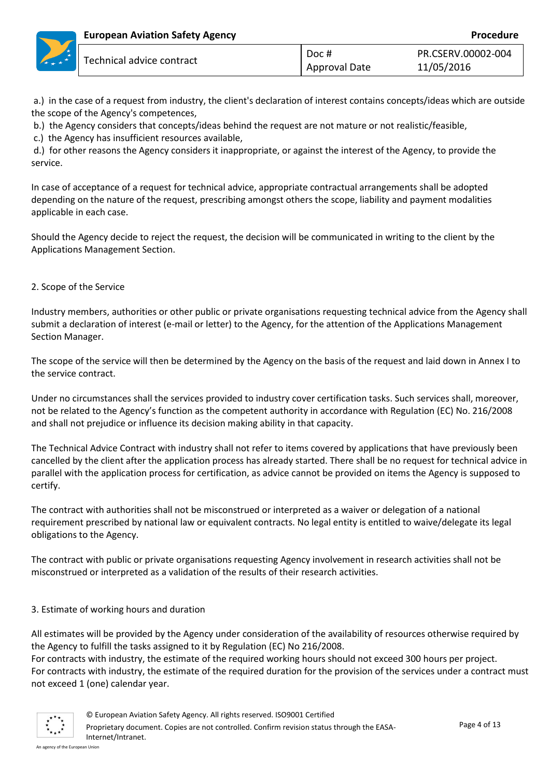a.) in the case of a request from industry, the client's declaration of interest contains concepts/ideas which are outside the scope of the Agency's competences,

b.) the Agency considers that concepts/ideas behind the request are not mature or not realistic/feasible,

c.) the Agency has insufficient resources available,

d.) for other reasons the Agency considers it inappropriate, or against the interest of the Agency, to provide the service.

In case of acceptance of a request for technical advice, appropriate contractual arrangements shall be adopted depending on the nature of the request, prescribing amongst others the scope, liability and payment modalities applicable in each case.

Should the Agency decide to reject the request, the decision will be communicated in writing to the client by the Applications Management Section.

2. Scope of the Service

Industry members, authorities or other public or private organisations requesting technical advice from the Agency shall submit a declaration of interest (e-mail or letter) to the Agency, for the attention of the Applications Management Section Manager.

The scope of the service will then be determined by the Agency on the basis of the request and laid down in Annex I to the service contract.

Under no circumstances shall the services provided to industry cover certification tasks. Such services shall, moreover, not be related to the Agency's function as the competent authority in accordance with Regulation (EC) No. 216/2008 and shall not prejudice or influence its decision making ability in that capacity.

The Technical Advice Contract with industry shall not refer to items covered by applications that have previously been cancelled by the client after the application process has already started. There shall be no request for technical advice in parallel with the application process for certification, as advice cannot be provided on items the Agency is supposed to certify.

The contract with authorities shall not be misconstrued or interpreted as a waiver or delegation of a national requirement prescribed by national law or equivalent contracts. No legal entity is entitled to waive/delegate its legal obligations to the Agency.

The contract with public or private organisations requesting Agency involvement in research activities shall not be misconstrued or interpreted as a validation of the results of their research activities.

#### 3. Estimate of working hours and duration

All estimates will be provided by the Agency under consideration of the availability of resources otherwise required by the Agency to fulfill the tasks assigned to it by Regulation (EC) No 216/2008.

For contracts with industry, the estimate of the required working hours should not exceed 300 hours per project. For contracts with industry, the estimate of the required duration for the provision of the services under a contract must not exceed 1 (one) calendar year.

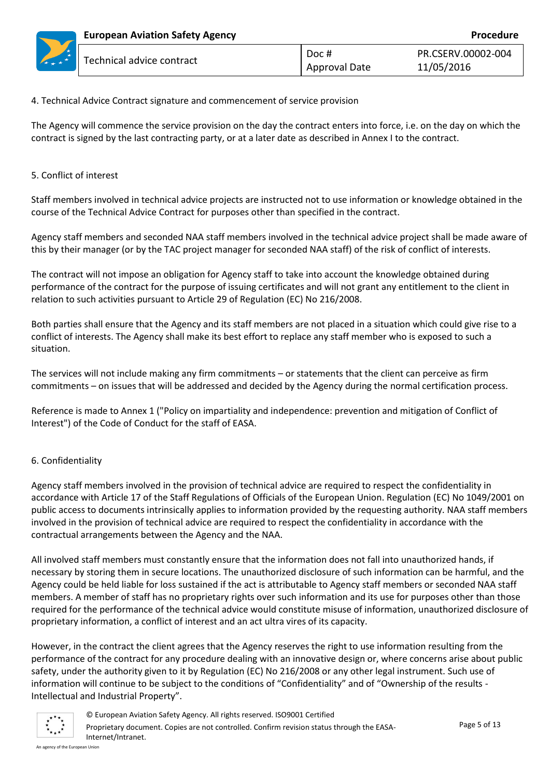#### 4. Technical Advice Contract signature and commencement of service provision

The Agency will commence the service provision on the day the contract enters into force, i.e. on the day on which the contract is signed by the last contracting party, or at a later date as described in Annex I to the contract.

#### 5. Conflict of interest

Staff members involved in technical advice projects are instructed not to use information or knowledge obtained in the course of the Technical Advice Contract for purposes other than specified in the contract.

Agency staff members and seconded NAA staff members involved in the technical advice project shall be made aware of this by their manager (or by the TAC project manager for seconded NAA staff) of the risk of conflict of interests.

The contract will not impose an obligation for Agency staff to take into account the knowledge obtained during performance of the contract for the purpose of issuing certificates and will not grant any entitlement to the client in relation to such activities pursuant to Article 29 of Regulation (EC) No 216/2008.

Both parties shall ensure that the Agency and its staff members are not placed in a situation which could give rise to a conflict of interests. The Agency shall make its best effort to replace any staff member who is exposed to such a situation.

The services will not include making any firm commitments – or statements that the client can perceive as firm commitments – on issues that will be addressed and decided by the Agency during the normal certification process.

Reference is made to Annex 1 ("Policy on impartiality and independence: prevention and mitigation of Conflict of Interest") of the Code of Conduct for the staff of EASA.

#### 6. Confidentiality

Agency staff members involved in the provision of technical advice are required to respect the confidentiality in accordance with Article 17 of the Staff Regulations of Officials of the European Union. Regulation (EC) No 1049/2001 on public access to documents intrinsically applies to information provided by the requesting authority. NAA staff members involved in the provision of technical advice are required to respect the confidentiality in accordance with the contractual arrangements between the Agency and the NAA.

All involved staff members must constantly ensure that the information does not fall into unauthorized hands, if necessary by storing them in secure locations. The unauthorized disclosure of such information can be harmful, and the Agency could be held liable for loss sustained if the act is attributable to Agency staff members or seconded NAA staff members. A member of staff has no proprietary rights over such information and its use for purposes other than those required for the performance of the technical advice would constitute misuse of information, unauthorized disclosure of proprietary information, a conflict of interest and an act ultra vires of its capacity.

However, in the contract the client agrees that the Agency reserves the right to use information resulting from the performance of the contract for any procedure dealing with an innovative design or, where concerns arise about public safety, under the authority given to it by Regulation (EC) No 216/2008 or any other legal instrument. Such use of information will continue to be subject to the conditions of "Confidentiality" and of "Ownership of the results - Intellectual and Industrial Property".

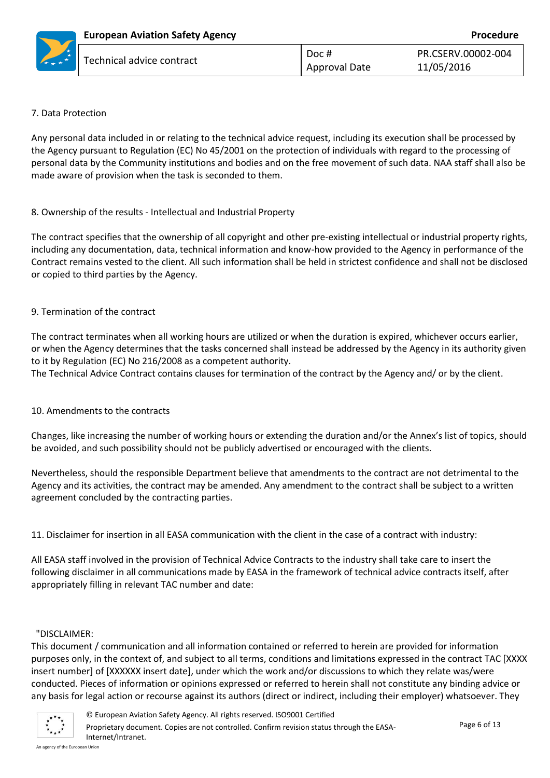|                 | <b>European Aviation Safety Agency</b> |               | Procedure          |
|-----------------|----------------------------------------|---------------|--------------------|
| $*$             | Technical advice contract              | Doc #         | PR.CSERV.00002-004 |
| $\rightarrow$ * |                                        | Approval Date | 11/05/2016         |

#### 7. Data Protection

Any personal data included in or relating to the technical advice request, including its execution shall be processed by the Agency pursuant to Regulation (EC) No 45/2001 on the protection of individuals with regard to the processing of personal data by the Community institutions and bodies and on the free movement of such data. NAA staff shall also be made aware of provision when the task is seconded to them.

#### 8. Ownership of the results - Intellectual and Industrial Property

The contract specifies that the ownership of all copyright and other pre-existing intellectual or industrial property rights, including any documentation, data, technical information and know-how provided to the Agency in performance of the Contract remains vested to the client. All such information shall be held in strictest confidence and shall not be disclosed or copied to third parties by the Agency.

#### 9. Termination of the contract

The contract terminates when all working hours are utilized or when the duration is expired, whichever occurs earlier, or when the Agency determines that the tasks concerned shall instead be addressed by the Agency in its authority given to it by Regulation (EC) No 216/2008 as a competent authority.

The Technical Advice Contract contains clauses for termination of the contract by the Agency and/ or by the client.

#### 10. Amendments to the contracts

Changes, like increasing the number of working hours or extending the duration and/or the Annex's list of topics, should be avoided, and such possibility should not be publicly advertised or encouraged with the clients.

Nevertheless, should the responsible Department believe that amendments to the contract are not detrimental to the Agency and its activities, the contract may be amended. Any amendment to the contract shall be subject to a written agreement concluded by the contracting parties.

11. Disclaimer for insertion in all EASA communication with the client in the case of a contract with industry:

All EASA staff involved in the provision of Technical Advice Contracts to the industry shall take care to insert the following disclaimer in all communications made by EASA in the framework of technical advice contracts itself, after appropriately filling in relevant TAC number and date:

#### "DISCLAIMER:

This document / communication and all information contained or referred to herein are provided for information purposes only, in the context of, and subject to all terms, conditions and limitations expressed in the contract TAC [XXXX insert number] of [XXXXXX insert date], under which the work and/or discussions to which they relate was/were conducted. Pieces of information or opinions expressed or referred to herein shall not constitute any binding advice or any basis for legal action or recourse against its authors (direct or indirect, including their employer) whatsoever. They

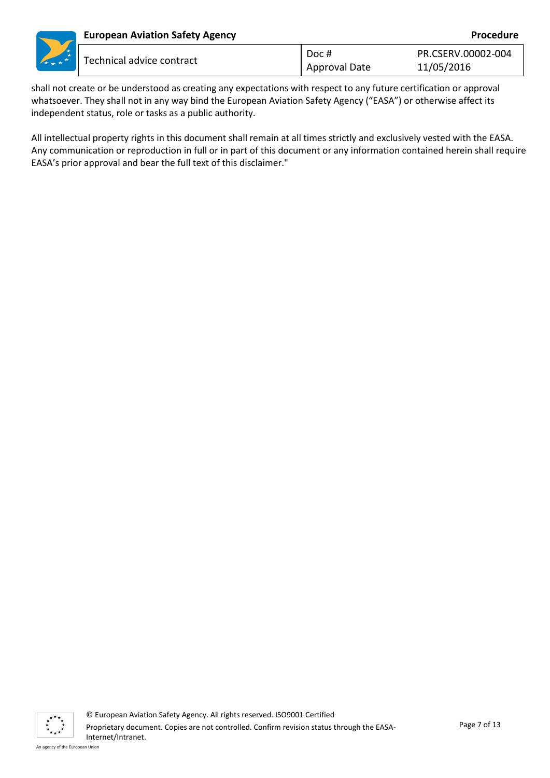|     | <b>European Aviation Safety Agency</b><br>Procedure |                        |                                  |
|-----|-----------------------------------------------------|------------------------|----------------------------------|
| $*$ | Technical advice contract                           | Doc #<br>Approval Date | PR.CSERV.00002-004<br>11/05/2016 |

shall not create or be understood as creating any expectations with respect to any future certification or approval whatsoever. They shall not in any way bind the European Aviation Safety Agency ("EASA") or otherwise affect its independent status, role or tasks as a public authority.

All intellectual property rights in this document shall remain at all times strictly and exclusively vested with the EASA. Any communication or reproduction in full or in part of this document or any information contained herein shall require EASA's prior approval and bear the full text of this disclaimer."

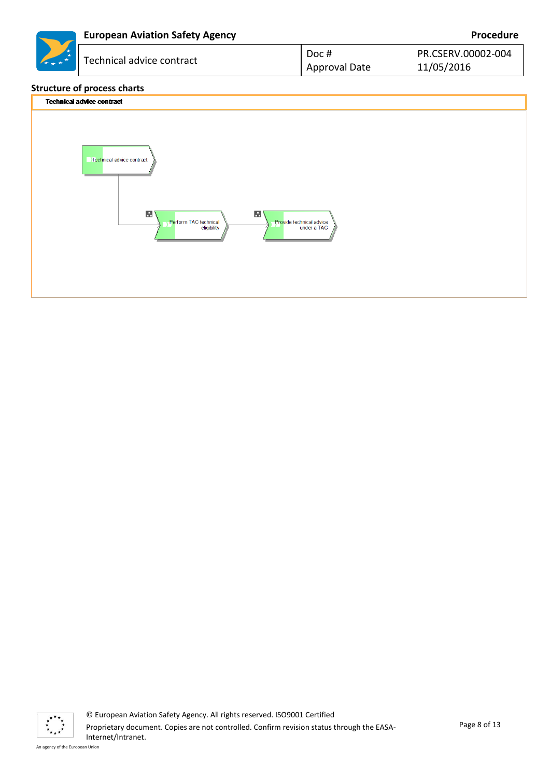|         | <b>European Aviation Safety Agency</b> |                               | Procedure                        |
|---------|----------------------------------------|-------------------------------|----------------------------------|
| $\star$ | Technical advice contract              | Doc #<br><b>Approval Date</b> | PR.CSERV.00002-004<br>11/05/2016 |
|         | $+$                                    |                               |                                  |





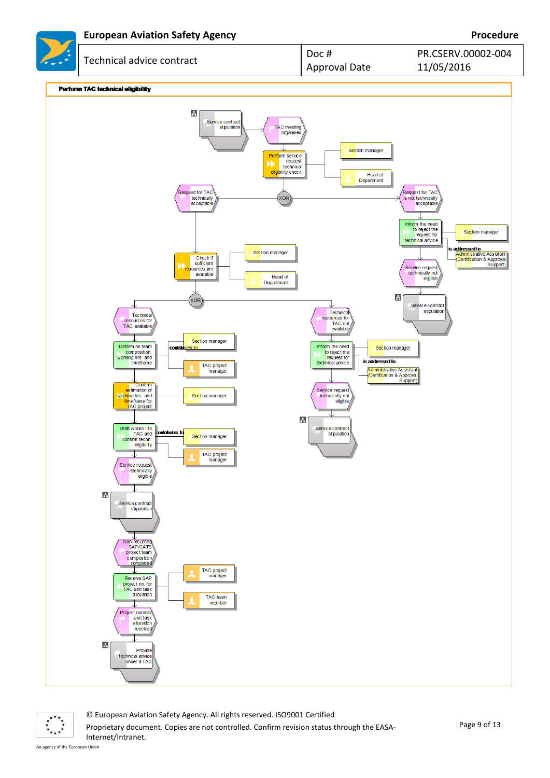

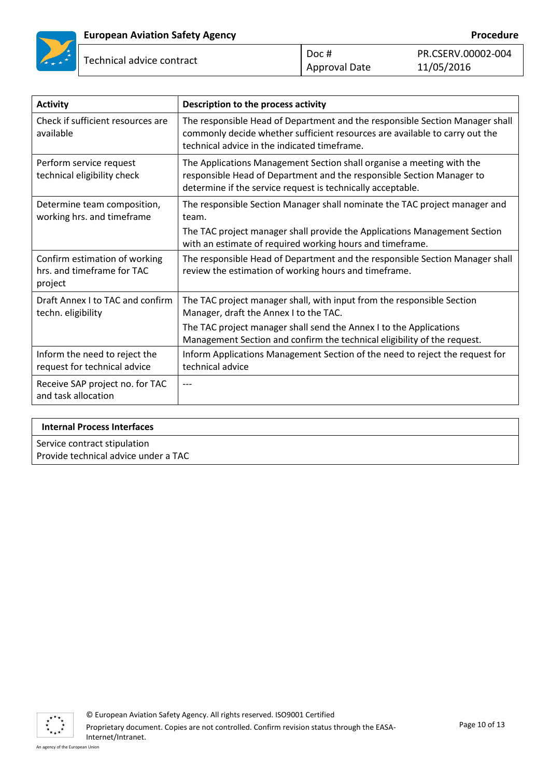

| $\vert$ Doc # | PR.CS |
|---------------|-------|
| Approval Date | 11/05 |

FRV.00002-004 5/2016

| <b>Activity</b>                                                        | Description to the process activity                                                                                                                                                                           |
|------------------------------------------------------------------------|---------------------------------------------------------------------------------------------------------------------------------------------------------------------------------------------------------------|
| Check if sufficient resources are<br>available                         | The responsible Head of Department and the responsible Section Manager shall<br>commonly decide whether sufficient resources are available to carry out the<br>technical advice in the indicated timeframe.   |
| Perform service request<br>technical eligibility check                 | The Applications Management Section shall organise a meeting with the<br>responsible Head of Department and the responsible Section Manager to<br>determine if the service request is technically acceptable. |
| Determine team composition,<br>working hrs. and timeframe              | The responsible Section Manager shall nominate the TAC project manager and<br>team.                                                                                                                           |
|                                                                        | The TAC project manager shall provide the Applications Management Section<br>with an estimate of required working hours and timeframe.                                                                        |
| Confirm estimation of working<br>hrs. and timeframe for TAC<br>project | The responsible Head of Department and the responsible Section Manager shall<br>review the estimation of working hours and timeframe.                                                                         |
| Draft Annex I to TAC and confirm<br>techn. eligibility                 | The TAC project manager shall, with input from the responsible Section<br>Manager, draft the Annex I to the TAC.                                                                                              |
|                                                                        | The TAC project manager shall send the Annex I to the Applications<br>Management Section and confirm the technical eligibility of the request.                                                                |
| Inform the need to reject the<br>request for technical advice          | Inform Applications Management Section of the need to reject the request for<br>technical advice                                                                                                              |
| Receive SAP project no. for TAC<br>and task allocation                 |                                                                                                                                                                                                               |

# **Internal Process Interfaces** Service contract stipulation

Provide technical advice under a TAC

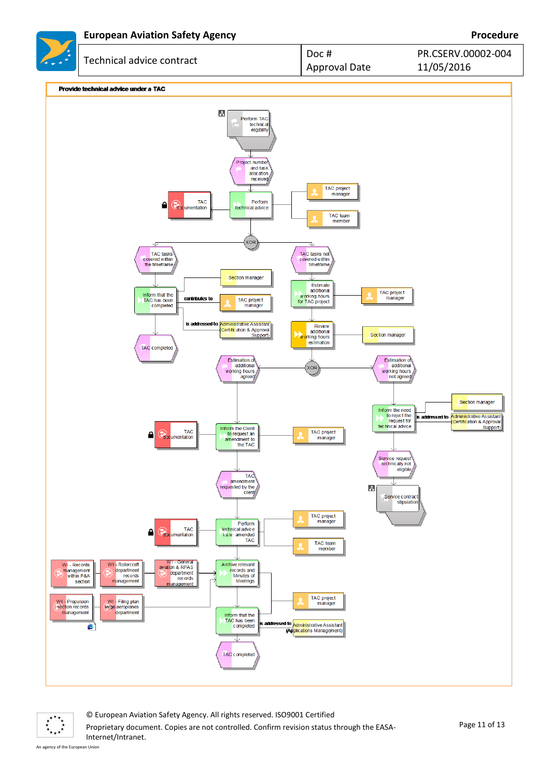

 $\vec{r}^{\star\star\star}$  $\ddot{\ddot{\mathbf{r}}}_{\dot{\mathbf{r}}\dot{\mathbf{r}}\dot{\mathbf{r}}}$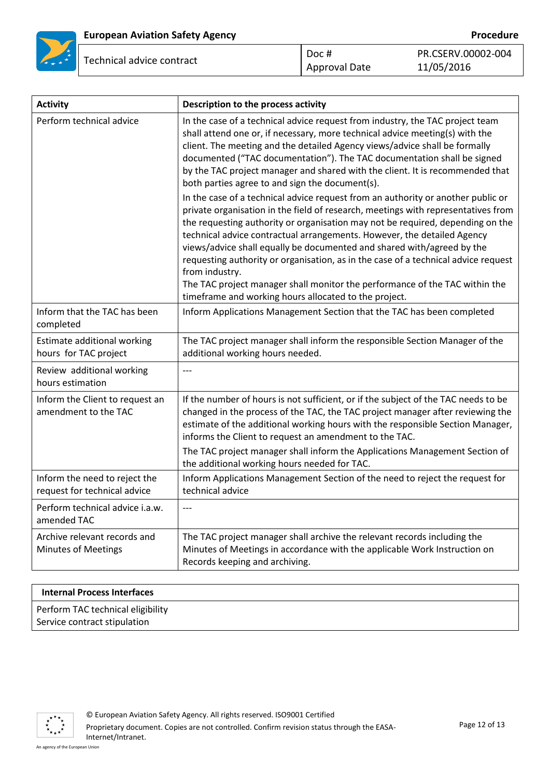

| <b>Activity</b>                                               | Description to the process activity                                                                                                                                                                                                                                                                                                                                                                                                                                                                                                                                                                                                                                                                                                                                                                                                                                                                                                                                                                                                                                                                                        |
|---------------------------------------------------------------|----------------------------------------------------------------------------------------------------------------------------------------------------------------------------------------------------------------------------------------------------------------------------------------------------------------------------------------------------------------------------------------------------------------------------------------------------------------------------------------------------------------------------------------------------------------------------------------------------------------------------------------------------------------------------------------------------------------------------------------------------------------------------------------------------------------------------------------------------------------------------------------------------------------------------------------------------------------------------------------------------------------------------------------------------------------------------------------------------------------------------|
| Perform technical advice                                      | In the case of a technical advice request from industry, the TAC project team<br>shall attend one or, if necessary, more technical advice meeting(s) with the<br>client. The meeting and the detailed Agency views/advice shall be formally<br>documented ("TAC documentation"). The TAC documentation shall be signed<br>by the TAC project manager and shared with the client. It is recommended that<br>both parties agree to and sign the document(s).<br>In the case of a technical advice request from an authority or another public or<br>private organisation in the field of research, meetings with representatives from<br>the requesting authority or organisation may not be required, depending on the<br>technical advice contractual arrangements. However, the detailed Agency<br>views/advice shall equally be documented and shared with/agreed by the<br>requesting authority or organisation, as in the case of a technical advice request<br>from industry.<br>The TAC project manager shall monitor the performance of the TAC within the<br>timeframe and working hours allocated to the project. |
| Inform that the TAC has been<br>completed                     | Inform Applications Management Section that the TAC has been completed                                                                                                                                                                                                                                                                                                                                                                                                                                                                                                                                                                                                                                                                                                                                                                                                                                                                                                                                                                                                                                                     |
| Estimate additional working<br>hours for TAC project          | The TAC project manager shall inform the responsible Section Manager of the<br>additional working hours needed.                                                                                                                                                                                                                                                                                                                                                                                                                                                                                                                                                                                                                                                                                                                                                                                                                                                                                                                                                                                                            |
| Review additional working<br>hours estimation                 | $---$                                                                                                                                                                                                                                                                                                                                                                                                                                                                                                                                                                                                                                                                                                                                                                                                                                                                                                                                                                                                                                                                                                                      |
| Inform the Client to request an<br>amendment to the TAC       | If the number of hours is not sufficient, or if the subject of the TAC needs to be<br>changed in the process of the TAC, the TAC project manager after reviewing the<br>estimate of the additional working hours with the responsible Section Manager,<br>informs the Client to request an amendment to the TAC.<br>The TAC project manager shall inform the Applications Management Section of<br>the additional working hours needed for TAC.                                                                                                                                                                                                                                                                                                                                                                                                                                                                                                                                                                                                                                                                            |
| Inform the need to reject the<br>request for technical advice | Inform Applications Management Section of the need to reject the request for<br>technical advice                                                                                                                                                                                                                                                                                                                                                                                                                                                                                                                                                                                                                                                                                                                                                                                                                                                                                                                                                                                                                           |
| Perform technical advice i.a.w.<br>amended TAC                | $---$                                                                                                                                                                                                                                                                                                                                                                                                                                                                                                                                                                                                                                                                                                                                                                                                                                                                                                                                                                                                                                                                                                                      |
| Archive relevant records and<br><b>Minutes of Meetings</b>    | The TAC project manager shall archive the relevant records including the<br>Minutes of Meetings in accordance with the applicable Work Instruction on<br>Records keeping and archiving.                                                                                                                                                                                                                                                                                                                                                                                                                                                                                                                                                                                                                                                                                                                                                                                                                                                                                                                                    |

#### **Internal Process Interfaces**

Perform TAC technical eligibility Service contract stipulation